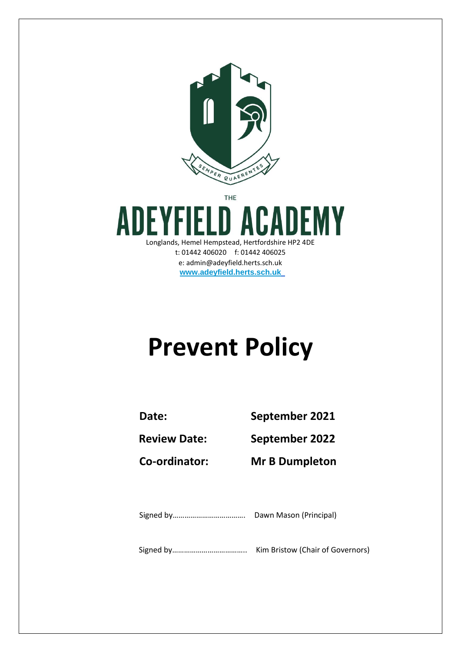

THE

ADEMY ADE Longlands, Hemel Hempstead, Hertfordshire HP2 4DE t: 01442 406020 f: 01442 406025 e: admin@adeyfield.herts.sch.uk **[www.adeyfield.herts.sch.uk](http://www.adeyfield.herts.sch.uk/)**

# **Prevent Policy**

**Date: September 2021**

**Review Date: September 2022**

**Co-ordinator: Mr B Dumpleton**

Signed by………………………………. Dawn Mason (Principal)

Signed by……………………………….. Kim Bristow (Chair of Governors)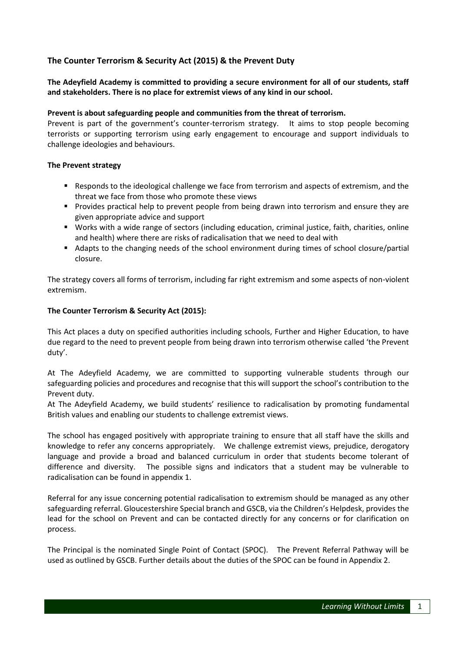## **The Counter Terrorism & Security Act (2015) & the Prevent Duty**

## **The Adeyfield Academy is committed to providing a secure environment for all of our students, staff and stakeholders. There is no place for extremist views of any kind in our school.**

#### **Prevent is about safeguarding people and communities from the threat of terrorism.**

Prevent is part of the government's counter-terrorism strategy. It aims to stop people becoming terrorists or supporting terrorism using early engagement to encourage and support individuals to challenge ideologies and behaviours.

#### **The Prevent strategy**

- **Responds to the ideological challenge we face from terrorism and aspects of extremism, and the** threat we face from those who promote these views
- **Provides practical help to prevent people from being drawn into terrorism and ensure they are** given appropriate advice and support
- Works with a wide range of sectors (including education, criminal justice, faith, charities, online and health) where there are risks of radicalisation that we need to deal with
- Adapts to the changing needs of the school environment during times of school closure/partial closure.

The strategy covers all forms of terrorism, including far right extremism and some aspects of non-violent extremism.

#### **The Counter Terrorism & Security Act (2015):**

This Act places a duty on specified authorities including schools, Further and Higher Education, to have due regard to the need to prevent people from being drawn into terrorism otherwise called 'the Prevent duty'.

At The Adeyfield Academy, we are committed to supporting vulnerable students through our safeguarding policies and procedures and recognise that this will support the school's contribution to the Prevent duty.

At The Adeyfield Academy, we build students' resilience to radicalisation by promoting fundamental British values and enabling our students to challenge extremist views.

The school has engaged positively with appropriate training to ensure that all staff have the skills and knowledge to refer any concerns appropriately. We challenge extremist views, prejudice, derogatory language and provide a broad and balanced curriculum in order that students become tolerant of difference and diversity. The possible signs and indicators that a student may be vulnerable to radicalisation can be found in appendix 1.

Referral for any issue concerning potential radicalisation to extremism should be managed as any other safeguarding referral. Gloucestershire Special branch and GSCB, via the Children's Helpdesk, provides the lead for the school on Prevent and can be contacted directly for any concerns or for clarification on process.

The Principal is the nominated Single Point of Contact (SPOC). The Prevent Referral Pathway will be used as outlined by GSCB. Further details about the duties of the SPOC can be found in Appendix 2.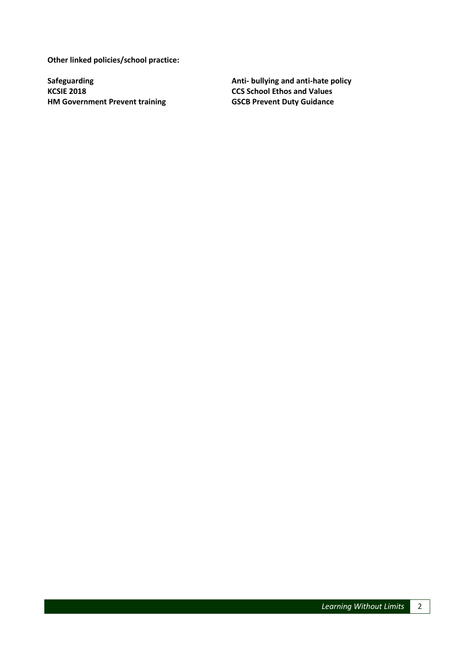**Other linked policies/school practice:** 

**HM Government Prevent training GSCB Prevent Duty Guidance** 

Safeguarding **Anti- bullying and anti-hate policy KCSIE 2018**<br>**Anti-** bullying and anti-hate policy **CCS** School Ethos and Values **CCS School Ethos and Values**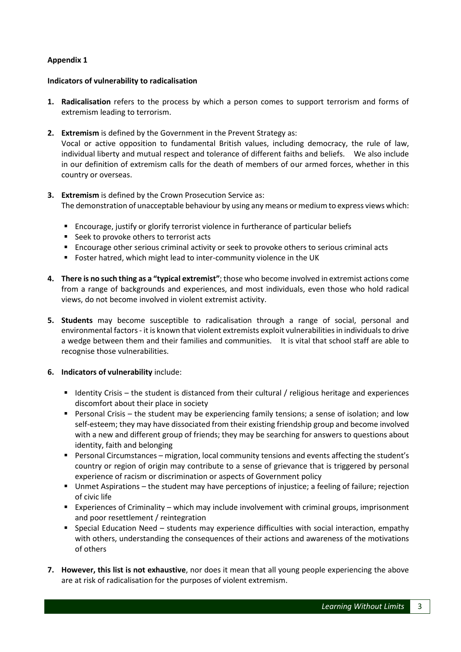#### **Appendix 1**

#### **Indicators of vulnerability to radicalisation**

country or overseas.

- **1. Radicalisation** refers to the process by which a person comes to support terrorism and forms of extremism leading to terrorism.
- **2. Extremism** is defined by the Government in the Prevent Strategy as: Vocal or active opposition to fundamental British values, including democracy, the rule of law, individual liberty and mutual respect and tolerance of different faiths and beliefs. We also include in our definition of extremism calls for the death of members of our armed forces, whether in this
- **3. Extremism** is defined by the Crown Prosecution Service as: The demonstration of unacceptable behaviour by using any means or medium to express views which:
	- Encourage, justify or glorify terrorist violence in furtherance of particular beliefs
	- Seek to provoke others to terrorist acts
	- Encourage other serious criminal activity or seek to provoke others to serious criminal acts
	- Foster hatred, which might lead to inter-community violence in the UK
- **4. There is no such thing as a "typical extremist"**; those who become involved in extremist actions come from a range of backgrounds and experiences, and most individuals, even those who hold radical views, do not become involved in violent extremist activity.
- **5. Students** may become susceptible to radicalisation through a range of social, personal and environmental factors - it is known that violent extremists exploit vulnerabilities in individuals to drive a wedge between them and their families and communities. It is vital that school staff are able to recognise those vulnerabilities.

#### **6. Indicators of vulnerability** include:

- Identity Crisis the student is distanced from their cultural / religious heritage and experiences discomfort about their place in society
- Personal Crisis the student may be experiencing family tensions; a sense of isolation; and low self-esteem; they may have dissociated from their existing friendship group and become involved with a new and different group of friends; they may be searching for answers to questions about identity, faith and belonging
- Personal Circumstances migration, local community tensions and events affecting the student's country or region of origin may contribute to a sense of grievance that is triggered by personal experience of racism or discrimination or aspects of Government policy
- Unmet Aspirations the student may have perceptions of injustice; a feeling of failure; rejection of civic life
- Experiences of Criminality which may include involvement with criminal groups, imprisonment and poor resettlement / reintegration
- **Special Education Need students may experience difficulties with social interaction, empathy** with others, understanding the consequences of their actions and awareness of the motivations of others
- **7. However, this list is not exhaustive**, nor does it mean that all young people experiencing the above are at risk of radicalisation for the purposes of violent extremism.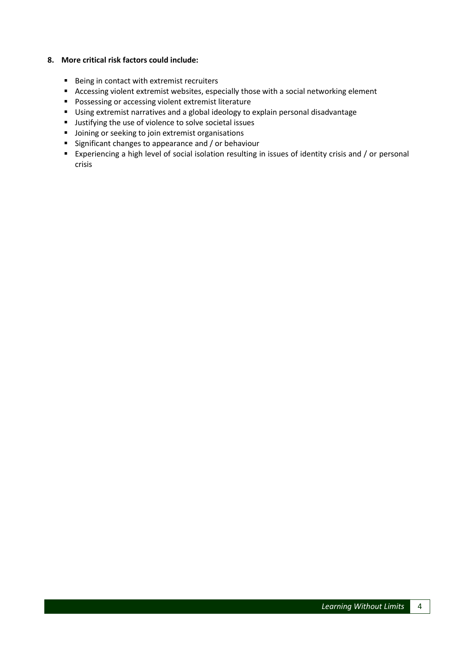#### **8. More critical risk factors could include:**

- Being in contact with extremist recruiters
- Accessing violent extremist websites, especially those with a social networking element
- **Possessing or accessing violent extremist literature**
- Using extremist narratives and a global ideology to explain personal disadvantage
- **Justifying the use of violence to solve societal issues**
- **•** Joining or seeking to join extremist organisations
- **Significant changes to appearance and / or behaviour**
- Experiencing a high level of social isolation resulting in issues of identity crisis and / or personal crisis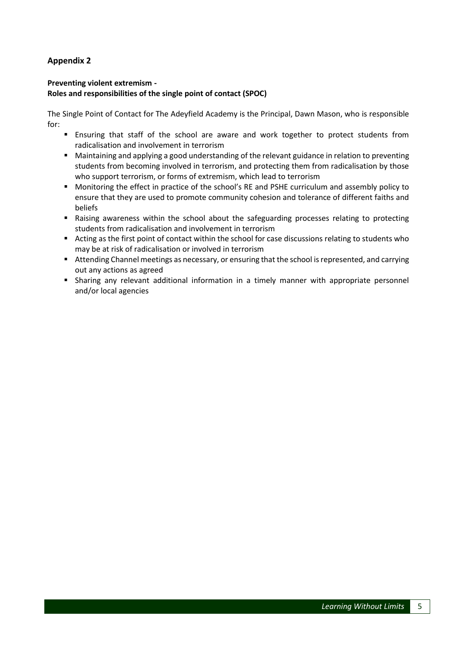# **Appendix 2**

#### **Preventing violent extremism - Roles and responsibilities of the single point of contact (SPOC)**

The Single Point of Contact for The Adeyfield Academy is the Principal, Dawn Mason, who is responsible for:

- Ensuring that staff of the school are aware and work together to protect students from radicalisation and involvement in terrorism
- Maintaining and applying a good understanding of the relevant guidance in relation to preventing students from becoming involved in terrorism, and protecting them from radicalisation by those who support terrorism, or forms of extremism, which lead to terrorism
- Monitoring the effect in practice of the school's RE and PSHE curriculum and assembly policy to ensure that they are used to promote community cohesion and tolerance of different faiths and beliefs
- Raising awareness within the school about the safeguarding processes relating to protecting students from radicalisation and involvement in terrorism
- Acting as the first point of contact within the school for case discussions relating to students who may be at risk of radicalisation or involved in terrorism
- Attending Channel meetings as necessary, or ensuring that the school is represented, and carrying out any actions as agreed
- **Sharing any relevant additional information in a timely manner with appropriate personnel** and/or local agencies